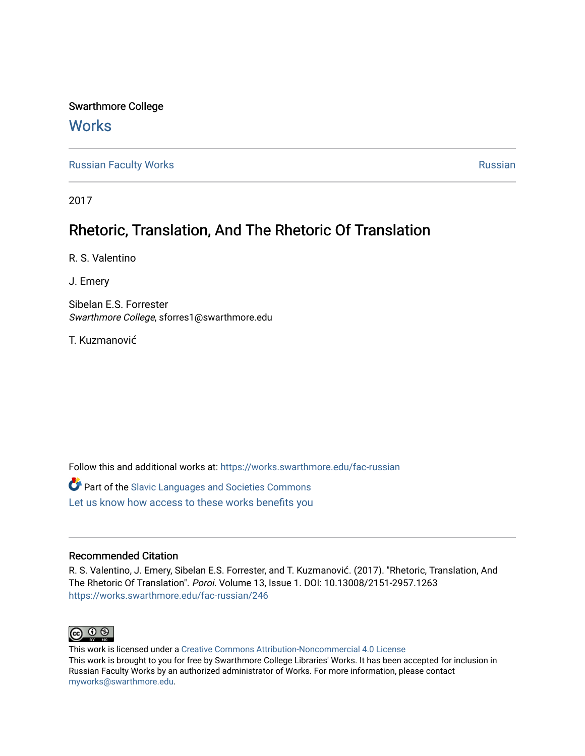Swarthmore College

## **Works**

[Russian Faculty Works](https://works.swarthmore.edu/fac-russian) **Russian** [Russian](https://works.swarthmore.edu/russian) Russian Russian

2017

## Rhetoric, Translation, And The Rhetoric Of Translation

R. S. Valentino

J. Emery

Sibelan E.S. Forrester Swarthmore College, sforres1@swarthmore.edu

T. Kuzmanović

Follow this and additional works at: [https://works.swarthmore.edu/fac-russian](https://works.swarthmore.edu/fac-russian?utm_source=works.swarthmore.edu%2Ffac-russian%2F246&utm_medium=PDF&utm_campaign=PDFCoverPages) 

Part of the [Slavic Languages and Societies Commons](http://network.bepress.com/hgg/discipline/486?utm_source=works.swarthmore.edu%2Ffac-russian%2F246&utm_medium=PDF&utm_campaign=PDFCoverPages)  [Let us know how access to these works benefits you](https://forms.gle/4MB8mE2GywC5965J8) 

### Recommended Citation

R. S. Valentino, J. Emery, Sibelan E.S. Forrester, and T. Kuzmanović. (2017). "Rhetoric, Translation, And The Rhetoric Of Translation". Poroi. Volume 13, Issue 1. DOI: 10.13008/2151-2957.1263 <https://works.swarthmore.edu/fac-russian/246>



This work is licensed under a [Creative Commons Attribution-Noncommercial 4.0 License](https://creativecommons.org/licenses/by-nc/4.0/)  This work is brought to you for free by Swarthmore College Libraries' Works. It has been accepted for inclusion in Russian Faculty Works by an authorized administrator of Works. For more information, please contact [myworks@swarthmore.edu.](mailto:myworks@swarthmore.edu)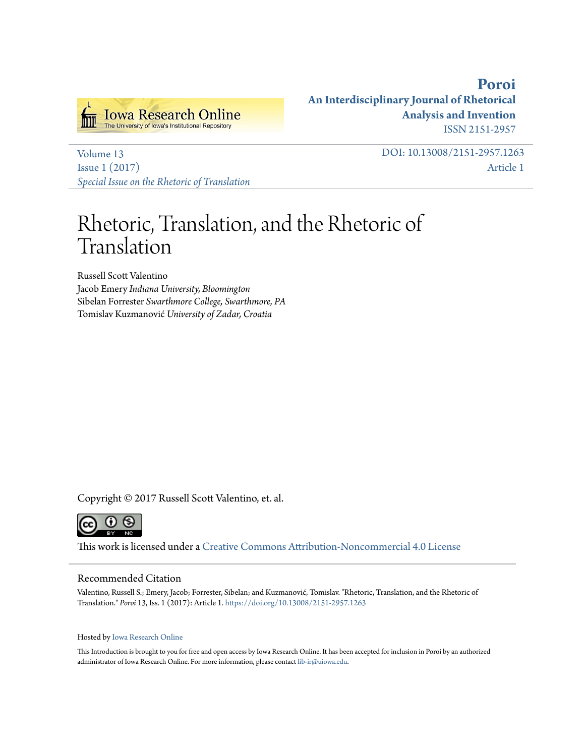

**[Poroi](http://ir.uiowa.edu/poroi) An Interdisciplinary Journal of Rhetorical Analysis and Invention** ISSN 2151-2957

[Volume 13](http://ir.uiowa.edu/poroi/vol13) [Issue 1 \(2017\)](http://ir.uiowa.edu/poroi/vol13/iss1) *[Special Issue on the Rhetoric of Translation](http://ir.uiowa.edu/poroi/vol13/iss1)* DOI: 10.13008/2151-2957.1263 [Article 1](http://ir.uiowa.edu/poroi/vol13/iss1/1)

# Rhetoric, Translation, and the Rhetoric of Translation

Russell Scott Valentino Jacob Emery *Indiana University, Bloomington* Sibelan Forrester *Swarthmore College, Swarthmore, PA* Tomislav Kuzmanović *University of Zadar, Croatia*

Copyright © 2017 Russell Scott Valentino, et. al.



This work is licensed under a [Creative Commons Attribution-Noncommercial 4.0 License](http://creativecommons.org/licenses/by-nc/4.0/)

#### Recommended Citation

Valentino, Russell S.; Emery, Jacob; Forrester, Sibelan; and Kuzmanović, Tomislav. "Rhetoric, Translation, and the Rhetoric of Translation." *Poroi* 13, Iss. 1 (2017): Article 1. <https://doi.org/10.13008/2151-2957.1263>

#### Hosted by [Iowa Research Online](http://ir.uiowa.edu)

This Introduction is brought to you for free and open access by Iowa Research Online. It has been accepted for inclusion in Poroi by an authorized administrator of Iowa Research Online. For more information, please contact [lib-ir@uiowa.edu.](mailto:lib-ir@uiowa.edu)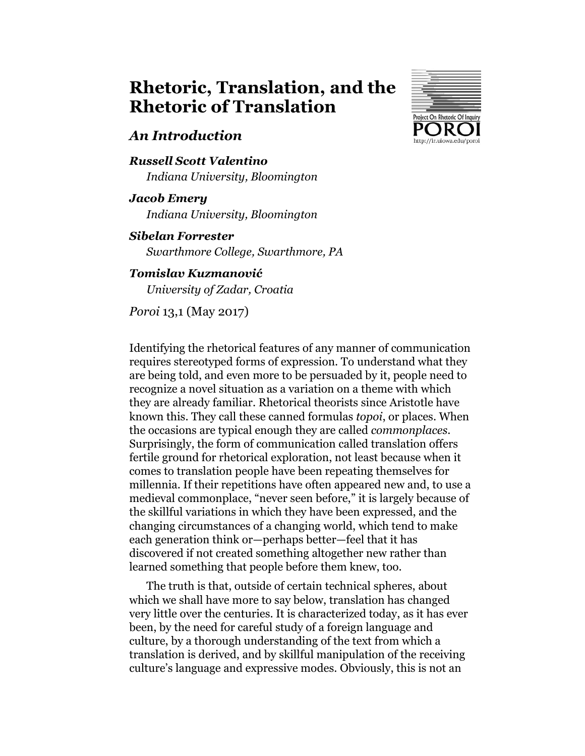## **Rhetoric, Translation, and the Rhetoric of Translation**

### *An Introduction*

### *Russell Scott Valentino Indiana University, Bloomington*

*Jacob Emery Indiana University, Bloomington*

### *Sibelan Forrester*

*Swarthmore College, Swarthmore, PA*

### *Tomislav Kuzmanović*

*University of Zadar, Croatia*

*Poroi* 13,1 (May 2017)



Identifying the rhetorical features of any manner of communication requires stereotyped forms of expression. To understand what they are being told, and even more to be persuaded by it, people need to recognize a novel situation as a variation on a theme with which they are already familiar. Rhetorical theorists since Aristotle have known this. They call these canned formulas *topoi*, or places. When the occasions are typical enough they are called *commonplaces*. Surprisingly, the form of communication called translation offers fertile ground for rhetorical exploration, not least because when it comes to translation people have been repeating themselves for millennia. If their repetitions have often appeared new and, to use a medieval commonplace, "never seen before," it is largely because of the skillful variations in which they have been expressed, and the changing circumstances of a changing world, which tend to make each generation think or—perhaps better—feel that it has discovered if not created something altogether new rather than learned something that people before them knew, too.

The truth is that, outside of certain technical spheres, about which we shall have more to say below, translation has changed very little over the centuries. It is characterized today, as it has ever been, by the need for careful study of a foreign language and culture, by a thorough understanding of the text from which a translation is derived, and by skillful manipulation of the receiving culture's language and expressive modes. Obviously, this is not an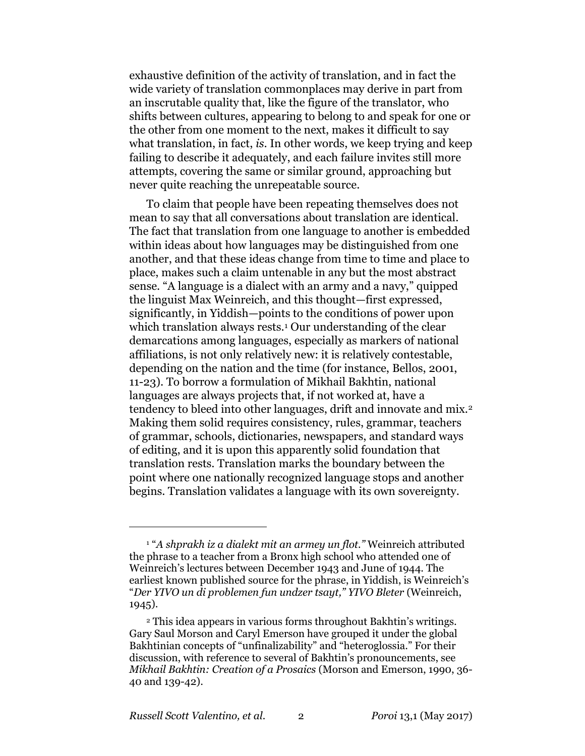exhaustive definition of the activity of translation, and in fact the wide variety of translation commonplaces may derive in part from an inscrutable quality that, like the figure of the translator, who shifts between cultures, appearing to belong to and speak for one or the other from one moment to the next, makes it difficult to say what translation, in fact, *is*. In other words, we keep trying and keep failing to describe it adequately, and each failure invites still more attempts, covering the same or similar ground, approaching but never quite reaching the unrepeatable source.

To claim that people have been repeating themselves does not mean to say that all conversations about translation are identical. The fact that translation from one language to another is embedded within ideas about how languages may be distinguished from one another, and that these ideas change from time to time and place to place, makes such a claim untenable in any but the most abstract sense. "A language is a dialect with an army and a navy," quipped the linguist Max Weinreich, and this thought—first expressed, significantly, in Yiddish—points to the conditions of power upon which translation always rests.<sup>1</sup> Our understanding of the clear demarcations among languages, especially as markers of national affiliations, is not only relatively new: it is relatively contestable, depending on the nation and the time (for instance, Bellos, 2001, 11-23). To borrow a formulation of Mikhail Bakhtin, national languages are always projects that, if not worked at, have a tendency to bleed into other languages, drift and innovate and mix.<sup>2</sup> Making them solid requires consistency, rules, grammar, teachers of grammar, schools, dictionaries, newspapers, and standard ways of editing, and it is upon this apparently solid foundation that translation rests. Translation marks the boundary between the point where one nationally recognized language stops and another begins. Translation validates a language with its own sovereignty.

<sup>1</sup> "*A shprakh iz a dialekt mit an armey un flot."* Weinreich attributed the phrase to a teacher from a Bronx high school who attended one of Weinreich's lectures between December 1943 and June of 1944. The earliest known published source for the phrase, in Yiddish, is Weinreich's "*Der YIVO un di problemen fun undzer tsayt," YIVO Bleter* (Weinreich, 1945).

<sup>2</sup> This idea appears in various forms throughout Bakhtin's writings. Gary Saul Morson and Caryl Emerson have grouped it under the global Bakhtinian concepts of "unfinalizability" and "heteroglossia." For their discussion, with reference to several of Bakhtin's pronouncements, see *Mikhail Bakhtin: Creation of a Prosaics* (Morson and Emerson, 1990, 36- 40 and 139-42).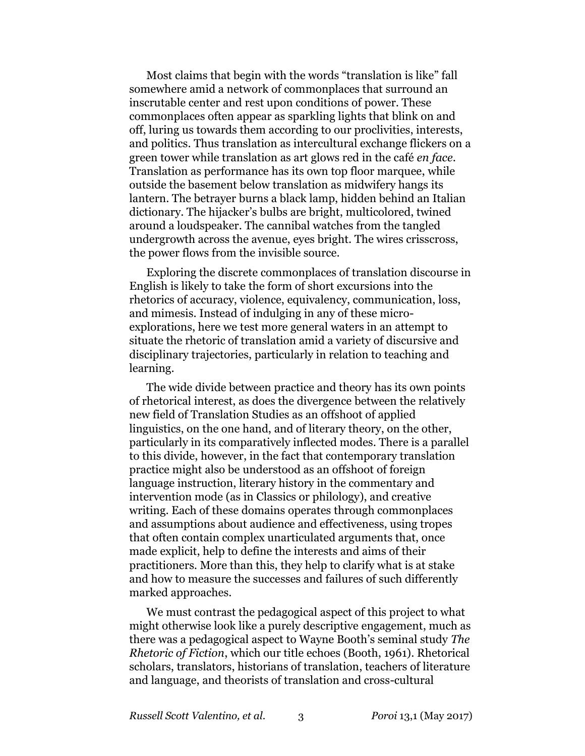Most claims that begin with the words "translation is like" fall somewhere amid a network of commonplaces that surround an inscrutable center and rest upon conditions of power. These commonplaces often appear as sparkling lights that blink on and off, luring us towards them according to our proclivities, interests, and politics. Thus translation as intercultural exchange flickers on a green tower while translation as art glows red in the café *en face*. Translation as performance has its own top floor marquee, while outside the basement below translation as midwifery hangs its lantern. The betrayer burns a black lamp, hidden behind an Italian dictionary. The hijacker's bulbs are bright, multicolored, twined around a loudspeaker. The cannibal watches from the tangled undergrowth across the avenue, eyes bright. The wires crisscross, the power flows from the invisible source.

Exploring the discrete commonplaces of translation discourse in English is likely to take the form of short excursions into the rhetorics of accuracy, violence, equivalency, communication, loss, and mimesis. Instead of indulging in any of these microexplorations, here we test more general waters in an attempt to situate the rhetoric of translation amid a variety of discursive and disciplinary trajectories, particularly in relation to teaching and learning.

The wide divide between practice and theory has its own points of rhetorical interest, as does the divergence between the relatively new field of Translation Studies as an offshoot of applied linguistics, on the one hand, and of literary theory, on the other, particularly in its comparatively inflected modes. There is a parallel to this divide, however, in the fact that contemporary translation practice might also be understood as an offshoot of foreign language instruction, literary history in the commentary and intervention mode (as in Classics or philology), and creative writing. Each of these domains operates through commonplaces and assumptions about audience and effectiveness, using tropes that often contain complex unarticulated arguments that, once made explicit, help to define the interests and aims of their practitioners. More than this, they help to clarify what is at stake and how to measure the successes and failures of such differently marked approaches.

We must contrast the pedagogical aspect of this project to what might otherwise look like a purely descriptive engagement, much as there was a pedagogical aspect to Wayne Booth's seminal study *The Rhetoric of Fiction*, which our title echoes (Booth, 1961). Rhetorical scholars, translators, historians of translation, teachers of literature and language, and theorists of translation and cross-cultural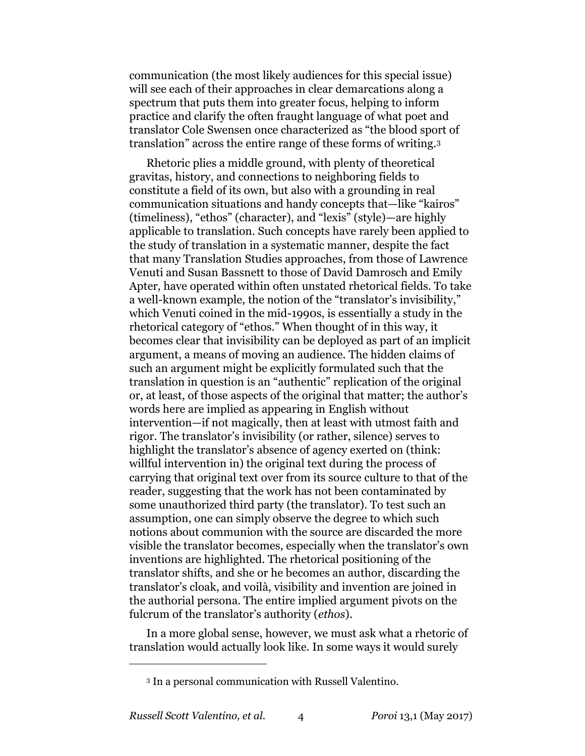communication (the most likely audiences for this special issue) will see each of their approaches in clear demarcations along a spectrum that puts them into greater focus, helping to inform practice and clarify the often fraught language of what poet and translator Cole Swensen once characterized as "the blood sport of translation" across the entire range of these forms of writing.<sup>3</sup>

Rhetoric plies a middle ground, with plenty of theoretical gravitas, history, and connections to neighboring fields to constitute a field of its own, but also with a grounding in real communication situations and handy concepts that—like "kairos" (timeliness), "ethos" (character), and "lexis" (style)—are highly applicable to translation. Such concepts have rarely been applied to the study of translation in a systematic manner, despite the fact that many Translation Studies approaches, from those of Lawrence Venuti and Susan Bassnett to those of David Damrosch and Emily Apter, have operated within often unstated rhetorical fields. To take a well-known example, the notion of the "translator's invisibility," which Venuti coined in the mid-1990s, is essentially a study in the rhetorical category of "ethos." When thought of in this way, it becomes clear that invisibility can be deployed as part of an implicit argument, a means of moving an audience. The hidden claims of such an argument might be explicitly formulated such that the translation in question is an "authentic" replication of the original or, at least, of those aspects of the original that matter; the author's words here are implied as appearing in English without intervention—if not magically, then at least with utmost faith and rigor. The translator's invisibility (or rather, silence) serves to highlight the translator's absence of agency exerted on (think: willful intervention in) the original text during the process of carrying that original text over from its source culture to that of the reader, suggesting that the work has not been contaminated by some unauthorized third party (the translator). To test such an assumption, one can simply observe the degree to which such notions about communion with the source are discarded the more visible the translator becomes, especially when the translator's own inventions are highlighted. The rhetorical positioning of the translator shifts, and she or he becomes an author, discarding the translator's cloak, and voilà, visibility and invention are joined in the authorial persona. The entire implied argument pivots on the fulcrum of the translator's authority (*ethos*).

In a more global sense, however, we must ask what a rhetoric of translation would actually look like. In some ways it would surely

<sup>3</sup> In a personal communication with Russell Valentino.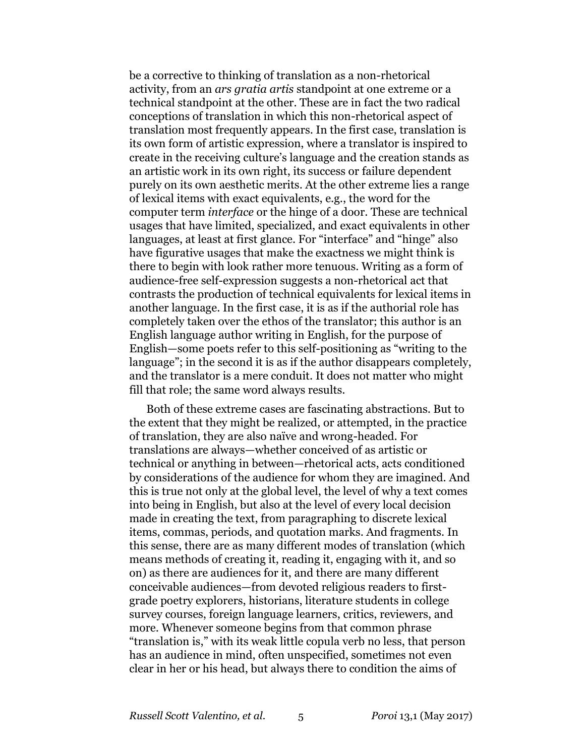be a corrective to thinking of translation as a non-rhetorical activity, from an *ars gratia artis* standpoint at one extreme or a technical standpoint at the other. These are in fact the two radical conceptions of translation in which this non-rhetorical aspect of translation most frequently appears. In the first case, translation is its own form of artistic expression, where a translator is inspired to create in the receiving culture's language and the creation stands as an artistic work in its own right, its success or failure dependent purely on its own aesthetic merits. At the other extreme lies a range of lexical items with exact equivalents, e.g., the word for the computer term *interface* or the hinge of a door. These are technical usages that have limited, specialized, and exact equivalents in other languages, at least at first glance. For "interface" and "hinge" also have figurative usages that make the exactness we might think is there to begin with look rather more tenuous. Writing as a form of audience-free self-expression suggests a non-rhetorical act that contrasts the production of technical equivalents for lexical items in another language. In the first case, it is as if the authorial role has completely taken over the ethos of the translator; this author is an English language author writing in English, for the purpose of English—some poets refer to this self-positioning as "writing to the language"; in the second it is as if the author disappears completely, and the translator is a mere conduit. It does not matter who might fill that role; the same word always results.

Both of these extreme cases are fascinating abstractions. But to the extent that they might be realized, or attempted, in the practice of translation, they are also naïve and wrong-headed. For translations are always—whether conceived of as artistic or technical or anything in between—rhetorical acts, acts conditioned by considerations of the audience for whom they are imagined. And this is true not only at the global level, the level of why a text comes into being in English, but also at the level of every local decision made in creating the text, from paragraphing to discrete lexical items, commas, periods, and quotation marks. And fragments. In this sense, there are as many different modes of translation (which means methods of creating it, reading it, engaging with it, and so on) as there are audiences for it, and there are many different conceivable audiences—from devoted religious readers to firstgrade poetry explorers, historians, literature students in college survey courses, foreign language learners, critics, reviewers, and more. Whenever someone begins from that common phrase "translation is," with its weak little copula verb no less, that person has an audience in mind, often unspecified, sometimes not even clear in her or his head, but always there to condition the aims of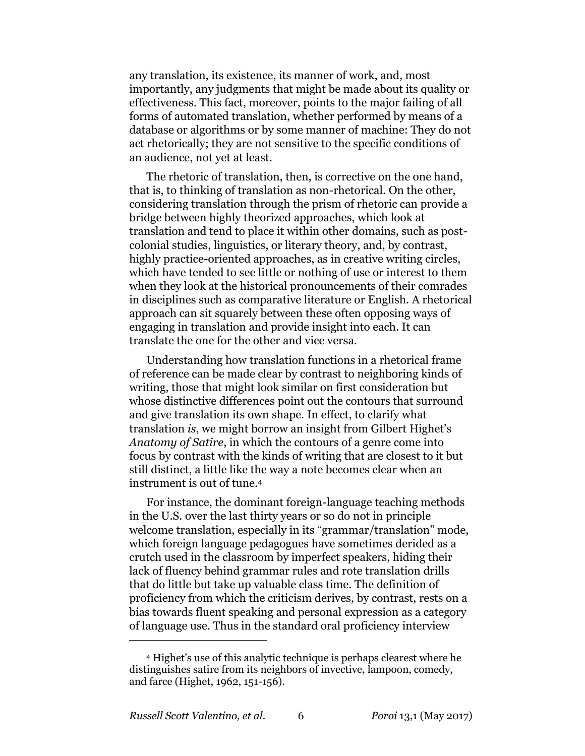any translation, its existence, its manner of work, and, most importantly, any judgments that might be made about its quality or effectiveness. This fact, moreover, points to the major failing of all forms of automated translation, whether performed by means of a database or algorithms or by some manner of machine: They do not act rhetorically; they are not sensitive to the specific conditions of an audience, not yet at least.

The rhetoric of translation, then, is corrective on the one hand, that is, to thinking of translation as non-rhetorical. On the other, considering translation through the prism of rhetoric can provide a bridge between highly theorized approaches, which look at translation and tend to place it within other domains, such as postcolonial studies, linguistics, or literary theory, and, by contrast, highly practice-oriented approaches, as in creative writing circles, which have tended to see little or nothing of use or interest to them when they look at the historical pronouncements of their comrades in disciplines such as comparative literature or English. A rhetorical approach can sit squarely between these often opposing ways of engaging in translation and provide insight into each. It can translate the one for the other and vice versa.

Understanding how translation functions in a rhetorical frame of reference can be made clear by contrast to neighboring kinds of writing, those that might look similar on first consideration but whose distinctive differences point out the contours that surround and give translation its own shape. In effect, to clarify what translation *is*, we might borrow an insight from Gilbert Highet's *Anatomy of Satire*, in which the contours of a genre come into focus by contrast with the kinds of writing that are closest to it but still distinct, a little like the way a note becomes clear when an instrument is out of tune.<sup>4</sup>

For instance, the dominant foreign-language teaching methods in the U.S. over the last thirty years or so do not in principle welcome translation, especially in its "grammar/translation" mode, which foreign language pedagogues have sometimes derided as a crutch used in the classroom by imperfect speakers, hiding their lack of fluency behind grammar rules and rote translation drills that do little but take up valuable class time. The definition of proficiency from which the criticism derives, by contrast, rests on a bias towards fluent speaking and personal expression as a category of language use. Thus in the standard oral proficiency interview

<sup>4</sup> Highet's use of this analytic technique is perhaps clearest where he distinguishes satire from its neighbors of invective, lampoon, comedy, and farce (Highet, 1962, 151-156).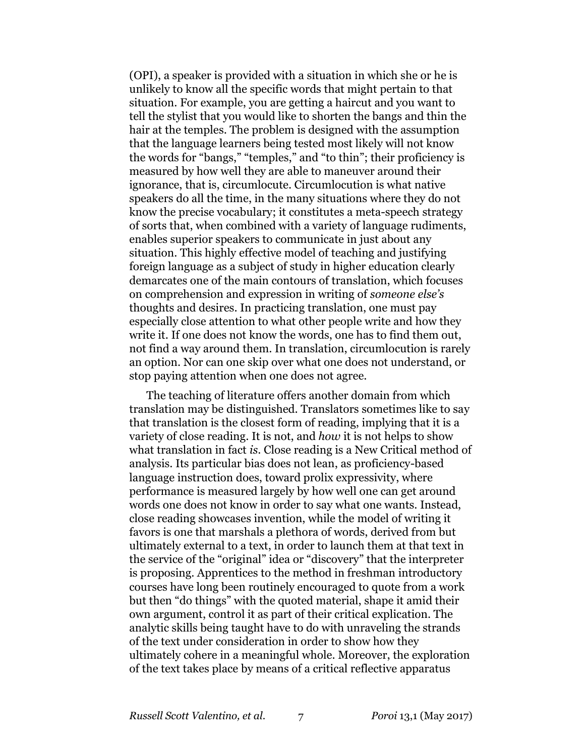(OPI), a speaker is provided with a situation in which she or he is unlikely to know all the specific words that might pertain to that situation. For example, you are getting a haircut and you want to tell the stylist that you would like to shorten the bangs and thin the hair at the temples. The problem is designed with the assumption that the language learners being tested most likely will not know the words for "bangs," "temples," and "to thin"; their proficiency is measured by how well they are able to maneuver around their ignorance, that is, circumlocute. Circumlocution is what native speakers do all the time, in the many situations where they do not know the precise vocabulary; it constitutes a meta-speech strategy of sorts that, when combined with a variety of language rudiments, enables superior speakers to communicate in just about any situation. This highly effective model of teaching and justifying foreign language as a subject of study in higher education clearly demarcates one of the main contours of translation, which focuses on comprehension and expression in writing of *someone else's* thoughts and desires. In practicing translation, one must pay especially close attention to what other people write and how they write it. If one does not know the words, one has to find them out, not find a way around them. In translation, circumlocution is rarely an option. Nor can one skip over what one does not understand, or stop paying attention when one does not agree.

The teaching of literature offers another domain from which translation may be distinguished. Translators sometimes like to say that translation is the closest form of reading, implying that it is a variety of close reading. It is not, and *how* it is not helps to show what translation in fact *is*. Close reading is a New Critical method of analysis. Its particular bias does not lean, as proficiency-based language instruction does, toward prolix expressivity, where performance is measured largely by how well one can get around words one does not know in order to say what one wants. Instead, close reading showcases invention, while the model of writing it favors is one that marshals a plethora of words, derived from but ultimately external to a text, in order to launch them at that text in the service of the "original" idea or "discovery" that the interpreter is proposing. Apprentices to the method in freshman introductory courses have long been routinely encouraged to quote from a work but then "do things" with the quoted material, shape it amid their own argument, control it as part of their critical explication. The analytic skills being taught have to do with unraveling the strands of the text under consideration in order to show how they ultimately cohere in a meaningful whole. Moreover, the exploration of the text takes place by means of a critical reflective apparatus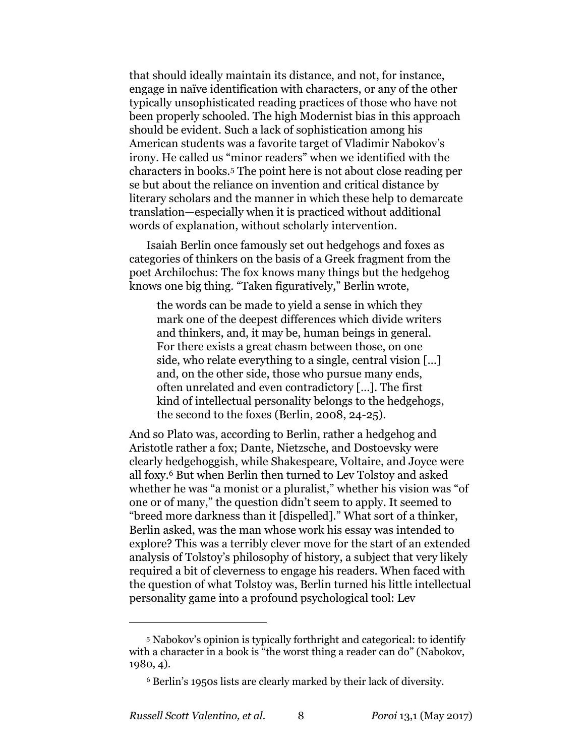that should ideally maintain its distance, and not, for instance, engage in naïve identification with characters, or any of the other typically unsophisticated reading practices of those who have not been properly schooled. The high Modernist bias in this approach should be evident. Such a lack of sophistication among his American students was a favorite target of Vladimir Nabokov's irony. He called us "minor readers" when we identified with the characters in books.<sup>5</sup> The point here is not about close reading per se but about the reliance on invention and critical distance by literary scholars and the manner in which these help to demarcate translation—especially when it is practiced without additional words of explanation, without scholarly intervention.

Isaiah Berlin once famously set out hedgehogs and foxes as categories of thinkers on the basis of a Greek fragment from the poet Archilochus: The fox knows many things but the hedgehog knows one big thing. "Taken figuratively," Berlin wrote,

the words can be made to yield a sense in which they mark one of the deepest differences which divide writers and thinkers, and, it may be, human beings in general. For there exists a great chasm between those, on one side, who relate everything to a single, central vision […] and, on the other side, those who pursue many ends, often unrelated and even contradictory […]. The first kind of intellectual personality belongs to the hedgehogs, the second to the foxes (Berlin, 2008, 24-25).

And so Plato was, according to Berlin, rather a hedgehog and Aristotle rather a fox; Dante, Nietzsche, and Dostoevsky were clearly hedgehoggish, while Shakespeare, Voltaire, and Joyce were all foxy.<sup>6</sup> But when Berlin then turned to Lev Tolstoy and asked whether he was "a monist or a pluralist," whether his vision was "of one or of many," the question didn't seem to apply. It seemed to "breed more darkness than it [dispelled]." What sort of a thinker, Berlin asked, was the man whose work his essay was intended to explore? This was a terribly clever move for the start of an extended analysis of Tolstoy's philosophy of history, a subject that very likely required a bit of cleverness to engage his readers. When faced with the question of what Tolstoy was, Berlin turned his little intellectual personality game into a profound psychological tool: Lev

<sup>5</sup> Nabokov's opinion is typically forthright and categorical: to identify with a character in a book is "the worst thing a reader can do" (Nabokov, 1980, 4).

<sup>6</sup> Berlin's 1950s lists are clearly marked by their lack of diversity.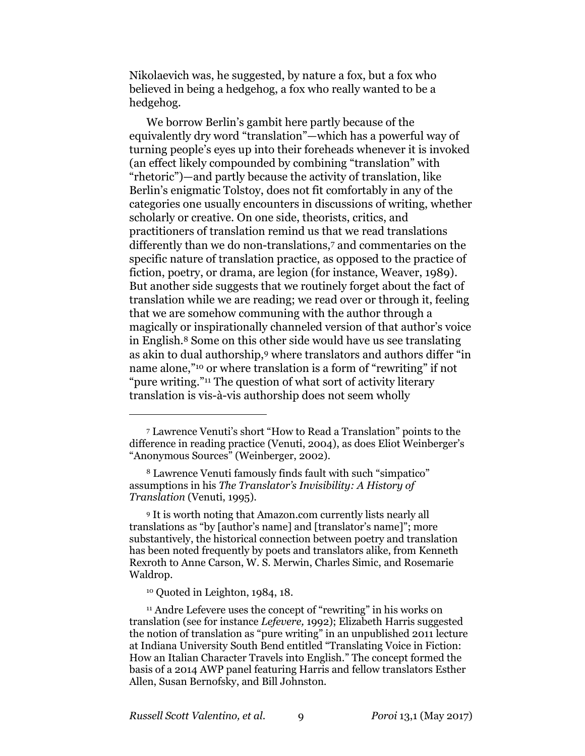Nikolaevich was, he suggested, by nature a fox, but a fox who believed in being a hedgehog, a fox who really wanted to be a hedgehog.

We borrow Berlin's gambit here partly because of the equivalently dry word "translation"—which has a powerful way of turning people's eyes up into their foreheads whenever it is invoked (an effect likely compounded by combining "translation" with "rhetoric")—and partly because the activity of translation, like Berlin's enigmatic Tolstoy, does not fit comfortably in any of the categories one usually encounters in discussions of writing, whether scholarly or creative. On one side, theorists, critics, and practitioners of translation remind us that we read translations differently than we do non-translations,<sup>7</sup> and commentaries on the specific nature of translation practice, as opposed to the practice of fiction, poetry, or drama, are legion (for instance, Weaver, 1989). But another side suggests that we routinely forget about the fact of translation while we are reading; we read over or through it, feeling that we are somehow communing with the author through a magically or inspirationally channeled version of that author's voice in English.<sup>8</sup> Some on this other side would have us see translating as akin to dual authorship,<sup>9</sup> where translators and authors differ "in name alone,"<sup>10</sup> or where translation is a form of "rewriting" if not "pure writing."<sup>11</sup> The question of what sort of activity literary translation is vis-à-vis authorship does not seem wholly

<sup>8</sup> Lawrence Venuti famously finds fault with such "simpatico" assumptions in his *The Translator's Invisibility: A History of Translation* (Venuti, 1995).

<sup>9</sup> It is worth noting that Amazon.com currently lists nearly all translations as "by [author's name] and [translator's name]"; more substantively, the historical connection between poetry and translation has been noted frequently by poets and translators alike, from Kenneth Rexroth to Anne Carson, W. S. Merwin, Charles Simic, and Rosemarie Waldrop.

<sup>10</sup> Quoted in Leighton, 1984, 18.

 $\overline{a}$ 

<sup>11</sup> Andre Lefevere uses the concept of "rewriting" in his works on translation (see for instance *Lefevere,* 1992); Elizabeth Harris suggested the notion of translation as "pure writing" in an unpublished 2011 lecture at Indiana University South Bend entitled "Translating Voice in Fiction: How an Italian Character Travels into English." The concept formed the basis of a 2014 AWP panel featuring Harris and fellow translators Esther Allen, Susan Bernofsky, and Bill Johnston.

<sup>7</sup> Lawrence Venuti's short "How to Read a Translation" points to the difference in reading practice (Venuti, 2004), as does Eliot Weinberger's "Anonymous Sources" (Weinberger, 2002).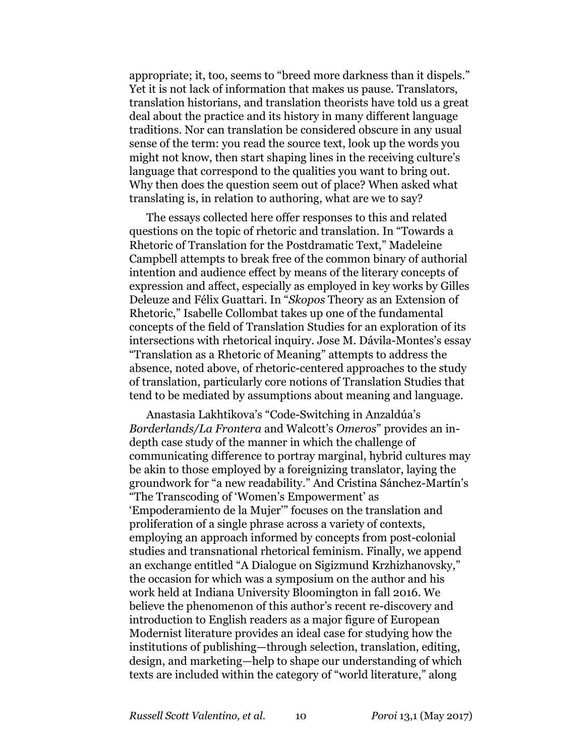appropriate; it, too, seems to "breed more darkness than it dispels." Yet it is not lack of information that makes us pause. Translators, translation historians, and translation theorists have told us a great deal about the practice and its history in many different language traditions. Nor can translation be considered obscure in any usual sense of the term: you read the source text, look up the words you might not know, then start shaping lines in the receiving culture's language that correspond to the qualities you want to bring out. Why then does the question seem out of place? When asked what translating is, in relation to authoring, what are we to say?

The essays collected here offer responses to this and related questions on the topic of rhetoric and translation. In "Towards a Rhetoric of Translation for the Postdramatic Text," Madeleine Campbell attempts to break free of the common binary of authorial intention and audience effect by means of the literary concepts of expression and affect, especially as employed in key works by Gilles Deleuze and Félix Guattari. In "*Skopos* Theory as an Extension of Rhetoric," Isabelle Collombat takes up one of the fundamental concepts of the field of Translation Studies for an exploration of its intersections with rhetorical inquiry. Jose M. Dávila-Montes's essay "Translation as a Rhetoric of Meaning" attempts to address the absence, noted above, of rhetoric-centered approaches to the study of translation, particularly core notions of Translation Studies that tend to be mediated by assumptions about meaning and language.

Anastasia Lakhtikova's "Code-Switching in Anzaldúa's *Borderlands/La Frontera* and Walcott's *Omeros*" provides an indepth case study of the manner in which the challenge of communicating difference to portray marginal, hybrid cultures may be akin to those employed by a foreignizing translator, laying the groundwork for "a new readability." And Cristina Sánchez-Martín's "The Transcoding of 'Women's Empowerment' as 'Empoderamiento de la Mujer'" focuses on the translation and proliferation of a single phrase across a variety of contexts, employing an approach informed by concepts from post-colonial studies and transnational rhetorical feminism. Finally, we append an exchange entitled "A Dialogue on Sigizmund Krzhizhanovsky," the occasion for which was a symposium on the author and his work held at Indiana University Bloomington in fall 2016. We believe the phenomenon of this author's recent re-discovery and introduction to English readers as a major figure of European Modernist literature provides an ideal case for studying how the institutions of publishing—through selection, translation, editing, design, and marketing—help to shape our understanding of which texts are included within the category of "world literature," along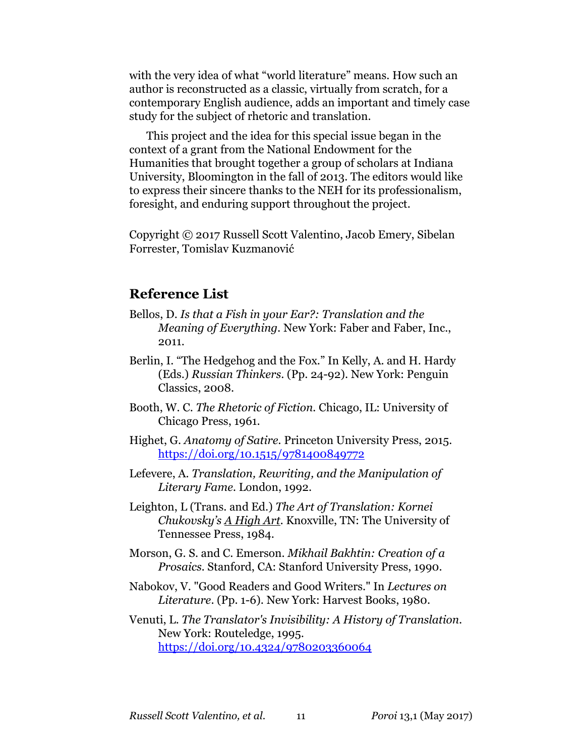with the very idea of what "world literature" means. How such an author is reconstructed as a classic, virtually from scratch, for a contemporary English audience, adds an important and timely case study for the subject of rhetoric and translation.

This project and the idea for this special issue began in the context of a grant from the National Endowment for the Humanities that brought together a group of scholars at Indiana University, Bloomington in the fall of 2013. The editors would like to express their sincere thanks to the NEH for its professionalism, foresight, and enduring support throughout the project.

Copyright © 2017 Russell Scott Valentino, Jacob Emery, Sibelan Forrester, Tomislav Kuzmanović

### **Reference List**

- Bellos, D. *Is that a Fish in your Ear?: Translation and the Meaning of Everything.* New York: Faber and Faber, Inc., 2011.
- Berlin, I. "The Hedgehog and the Fox." In Kelly, A. and H. Hardy (Eds.) *Russian Thinkers*. (Pp. 24-92). New York: Penguin Classics, 2008.
- Booth, W. C. *The Rhetoric of Fiction.* Chicago, IL: University of Chicago Press, 1961.
- Highet, G. *Anatomy of Satire.* Princeton University Press, 2015. <https://doi.org/10.1515/9781400849772>
- Lefevere, A. *Translation, Rewriting, and the Manipulation of Literary Fame.* London, 1992.
- Leighton, L (Trans. and Ed.) *The Art of Translation: Kornei Chukovsky's A High Art.* Knoxville, TN: The University of Tennessee Press, 1984.
- Morson, G. S. and C. Emerson. *Mikhail Bakhtin: Creation of a Prosaics.* Stanford, CA: Stanford University Press, 1990.
- Nabokov, V. "Good Readers and Good Writers." In *Lectures on Literature*. (Pp. 1-6). New York: Harvest Books, 1980.

Venuti, L. *The Translator's Invisibility: A History of Translation.* New York: Routeledge, 1995. <https://doi.org/10.4324/9780203360064>